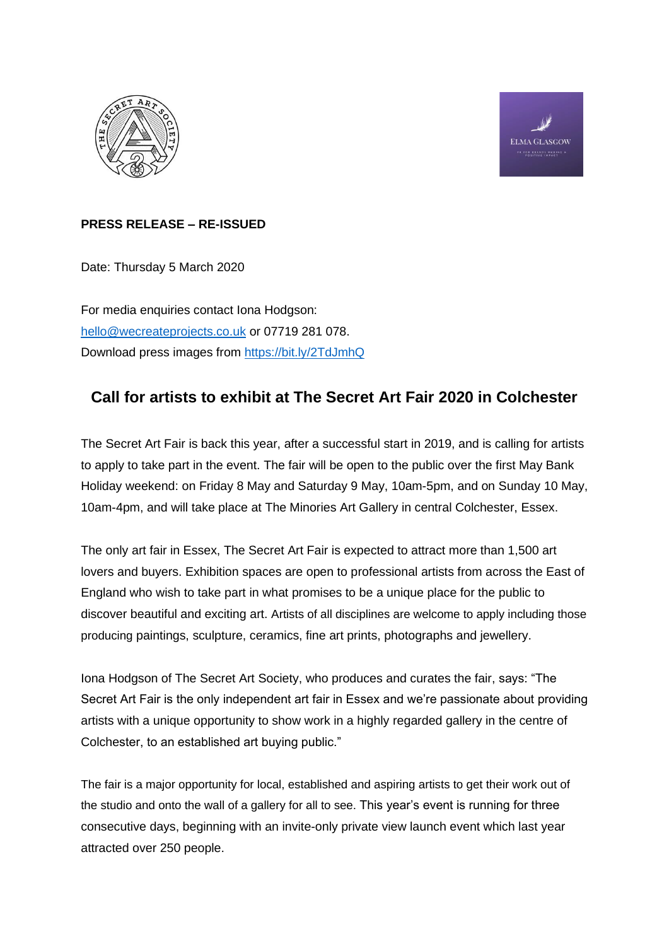



# **PRESS RELEASE – RE-ISSUED**

Date: Thursday 5 March 2020

For media enquiries contact Iona Hodgson: [hello@wecreateprojects.co.uk](mailto:hello@wecreateprojects.co.uk) or 07719 281 078. Download press images from<https://bit.ly/2TdJmhQ>

# **Call for artists to exhibit at The Secret Art Fair 2020 in Colchester**

The Secret Art Fair is back this year, after a successful start in 2019, and is calling for artists to apply to take part in the event. The fair will be open to the public over the first May Bank Holiday weekend: on Friday 8 May and Saturday 9 May, 10am-5pm, and on Sunday 10 May, 10am-4pm, and will take place at The Minories Art Gallery in central Colchester, Essex.

The only art fair in Essex, The Secret Art Fair is expected to attract more than 1,500 art lovers and buyers. Exhibition spaces are open to professional artists from across the East of England who wish to take part in what promises to be a unique place for the public to discover beautiful and exciting art. Artists of all disciplines are welcome to apply including those producing paintings, sculpture, ceramics, fine art prints, photographs and jewellery.

Iona Hodgson of The Secret Art Society, who produces and curates the fair, says: "The Secret Art Fair is the only independent art fair in Essex and we're passionate about providing artists with a unique opportunity to show work in a highly regarded gallery in the centre of Colchester, to an established art buying public."

The fair is a major opportunity for local, established and aspiring artists to get their work out of the studio and onto the wall of a gallery for all to see. This year's event is running for three consecutive days, beginning with an invite-only private view launch event which last year attracted over 250 people.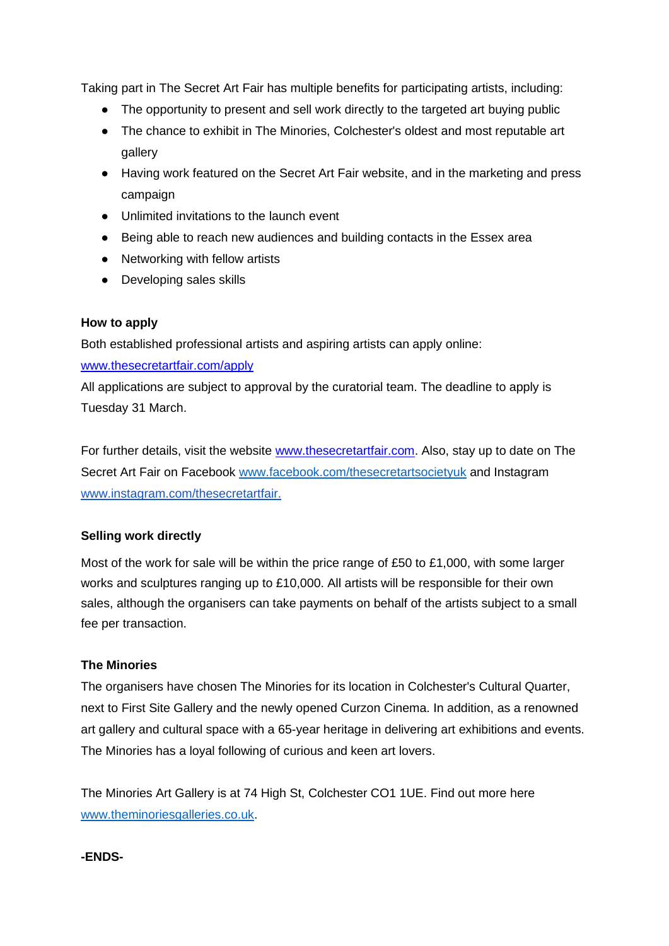Taking part in The Secret Art Fair has multiple benefits for participating artists, including:

- The opportunity to present and sell work directly to the targeted art buying public
- The chance to exhibit in The Minories, Colchester's oldest and most reputable art gallery
- Having work featured on the Secret Art Fair website, and in the marketing and press campaign
- Unlimited invitations to the launch event
- Being able to reach new audiences and building contacts in the Essex area
- Networking with fellow artists
- Developing sales skills

#### **How to apply**

Both established professional artists and aspiring artists can apply online:

#### [www.thesecretartfair.com/apply](http://www.thesecretartfair.com/apply)

All applications are subject to approval by the curatorial team. The deadline to apply is Tuesday 31 March.

For further details, visit the website [www.thesecretartfair.com.](http://www.thesecretartfair.com/) Also, stay up to date on The Secret Art Fair on Facebook [www.facebook.com/thesecretartsocietyuk](http://www.facebook.com/thesecretartsocietyuk) and Instagram [www.instagram.com/thesecretartfair.](https://www.instagram.com/thesecretartfair/)

## **Selling work directly**

Most of the work for sale will be within the price range of £50 to £1,000, with some larger works and sculptures ranging up to £10,000. All artists will be responsible for their own sales, although the organisers can take payments on behalf of the artists subject to a small fee per transaction.

## **The Minories**

The organisers have chosen The Minories for its location in Colchester's Cultural Quarter, next to First Site Gallery and the newly opened Curzon Cinema. In addition, as a renowned art gallery and cultural space with a 65-year heritage in delivering art exhibitions and events. The Minories has a loyal following of curious and keen art lovers.

The Minories Art Gallery is at 74 High St, Colchester CO1 1UE. Find out more here [www.theminoriesgalleries.co.uk.](http://www.theminoriesgalleries.co.uk/)

## **-ENDS-**